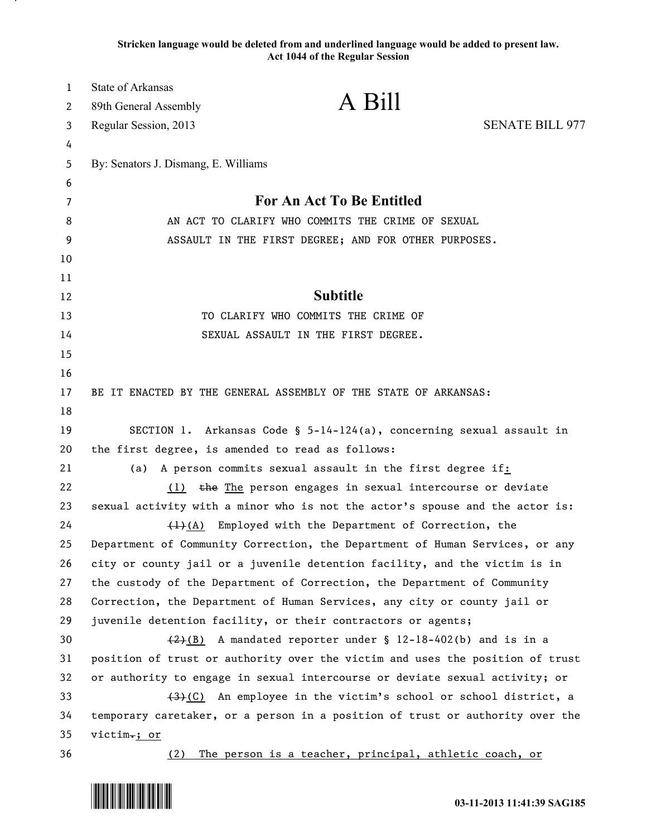## **Stricken language would be deleted from and underlined language would be added to present law. Act 1044 of the Regular Session**

| 1  | <b>State of Arkansas</b>                                                      |                                                                           |                        |
|----|-------------------------------------------------------------------------------|---------------------------------------------------------------------------|------------------------|
| 2  | 89th General Assembly                                                         | A Bill                                                                    |                        |
| 3  | Regular Session, 2013                                                         |                                                                           | <b>SENATE BILL 977</b> |
| 4  |                                                                               |                                                                           |                        |
| 5  | By: Senators J. Dismang, E. Williams                                          |                                                                           |                        |
| 6  |                                                                               |                                                                           |                        |
| 7  | For An Act To Be Entitled                                                     |                                                                           |                        |
| 8  | AN ACT TO CLARIFY WHO COMMITS THE CRIME OF SEXUAL                             |                                                                           |                        |
| 9  |                                                                               | ASSAULT IN THE FIRST DEGREE; AND FOR OTHER PURPOSES.                      |                        |
| 10 |                                                                               |                                                                           |                        |
| 11 |                                                                               |                                                                           |                        |
| 12 |                                                                               | <b>Subtitle</b>                                                           |                        |
| 13 |                                                                               | TO CLARIFY WHO COMMITS THE CRIME OF                                       |                        |
| 14 |                                                                               | SEXUAL ASSAULT IN THE FIRST DEGREE.                                       |                        |
| 15 |                                                                               |                                                                           |                        |
| 16 |                                                                               |                                                                           |                        |
| 17 | BE IT ENACTED BY THE GENERAL ASSEMBLY OF THE STATE OF ARKANSAS:               |                                                                           |                        |
| 18 |                                                                               |                                                                           |                        |
| 19 | SECTION 1. Arkansas Code § $5-14-124(a)$ , concerning sexual assault in       |                                                                           |                        |
| 20 | the first degree, is amended to read as follows:                              |                                                                           |                        |
| 21 | (a)                                                                           | A person commits sexual assault in the first degree if:                   |                        |
| 22 | (1)                                                                           | the The person engages in sexual intercourse or deviate                   |                        |
| 23 | sexual activity with a minor who is not the actor's spouse and the actor is:  |                                                                           |                        |
| 24 | $\left(\frac{1}{2}\right)$ (A)                                                | Employed with the Department of Correction, the                           |                        |
| 25 | Department of Community Correction, the Department of Human Services, or any  |                                                                           |                        |
| 26 | city or county jail or a juvenile detention facility, and the victim is in    |                                                                           |                        |
| 27 | the custody of the Department of Correction, the Department of Community      |                                                                           |                        |
| 28 | Correction, the Department of Human Services, any city or county jail or      |                                                                           |                        |
| 29 | juvenile detention facility, or their contractors or agents;                  |                                                                           |                        |
| 30 |                                                                               | $\frac{2}{2}(B)$ A mandated reporter under § 12-18-402(b) and is in a     |                        |
| 31 | position of trust or authority over the victim and uses the position of trust |                                                                           |                        |
| 32 | or authority to engage in sexual intercourse or deviate sexual activity; or   |                                                                           |                        |
| 33 |                                                                               | $\frac{1}{2}(C)$ An employee in the victim's school or school district, a |                        |
| 34 | temporary caretaker, or a person in a position of trust or authority over the |                                                                           |                        |
| 35 | victim.; or                                                                   |                                                                           |                        |
| 36 | (2)                                                                           | The person is a teacher, principal, athletic coach, or                    |                        |